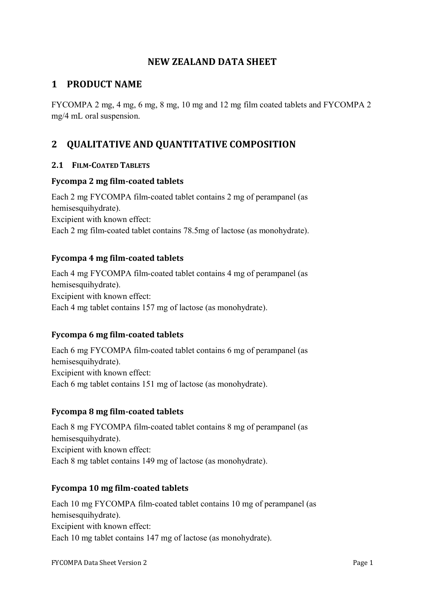## **NEW ZEALAND DATA SHEET**

# **1 PRODUCT NAME**

FYCOMPA 2 mg, 4 mg, 6 mg, 8 mg, 10 mg and 12 mg film coated tablets and FYCOMPA 2 mg/4 mL oral suspension.

# 2 **QUALITATIVE AND QUANTITATIVE COMPOSITION**

#### **2.1 FILM-COATED TABLETS**

#### **Fycompa 2 mg film-coated tablets**

Each 2 mg FYCOMPA film-coated tablet contains 2 mg of perampanel (as hemisesquihydrate). Excipient with known effect: Each 2 mg film-coated tablet contains 78.5mg of lactose (as monohydrate).

### **Fycompa 4 mg film-coated tablets**

Each 4 mg FYCOMPA film-coated tablet contains 4 mg of perampanel (as hemisesquihydrate). Excipient with known effect: Each 4 mg tablet contains 157 mg of lactose (as monohydrate).

## **Fycompa 6 mg film-coated tablets**

Each 6 mg FYCOMPA film-coated tablet contains 6 mg of perampanel (as hemisesquihydrate). Excipient with known effect: Each 6 mg tablet contains 151 mg of lactose (as monohydrate).

#### **Fycompa 8 mg film-coated tablets**

Each 8 mg FYCOMPA film-coated tablet contains 8 mg of perampanel (as hemisesquihydrate). Excipient with known effect: Each 8 mg tablet contains 149 mg of lactose (as monohydrate).

#### **Fycompa 10 mg film-coated tablets**

Each 10 mg FYCOMPA film-coated tablet contains 10 mg of perampanel (as hemisesquihydrate). Excipient with known effect: Each 10 mg tablet contains 147 mg of lactose (as monohydrate).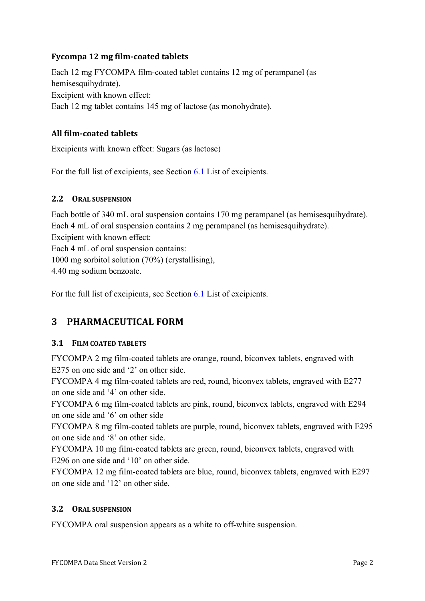## **Fycompa 12 mg film-coated tablets**

Each 12 mg FYCOMPA film-coated tablet contains 12 mg of perampanel (as hemisesquihydrate). Excipient with known effect: Each 12 mg tablet contains 145 mg of lactose (as monohydrate).

### **All film-coated tablets**

Excipients with known effect: Sugars (as lactose)

For the full list of excipients, see Section [6.1](#page-29-0) List of excipients.

#### **2.2 ORAL SUSPENSION**

Each bottle of 340 mL oral suspension contains 170 mg perampanel (as hemisesquihydrate). Each 4 mL of oral suspension contains 2 mg perampanel (as hemisesquihydrate). Excipient with known effect: Each 4 mL of oral suspension contains: 1000 mg sorbitol solution (70%) (crystallising), 4.40 mg sodium benzoate.

For the full list of excipients, see Section [6.1](#page-29-0) List of excipients.

# **3** PHARMACEUTICAL FORM

#### **3.1 FILM COATED TABLETS**

FYCOMPA 2 mg film-coated tablets are orange, round, biconvex tablets, engraved with E275 on one side and '2' on other side.

FYCOMPA 4 mg film-coated tablets are red, round, biconvex tablets, engraved with E277 on one side and '4' on other side.

FYCOMPA 6 mg film-coated tablets are pink, round, biconvex tablets, engraved with E294 on one side and '6' on other side

FYCOMPA 8 mg film-coated tablets are purple, round, biconvex tablets, engraved with E295 on one side and '8' on other side.

FYCOMPA 10 mg film-coated tablets are green, round, biconvex tablets, engraved with E296 on one side and '10' on other side.

FYCOMPA 12 mg film-coated tablets are blue, round, biconvex tablets, engraved with E297 on one side and '12' on other side.

#### **3.2 ORAL SUSPENSION**

FYCOMPA oral suspension appears as a white to off-white suspension.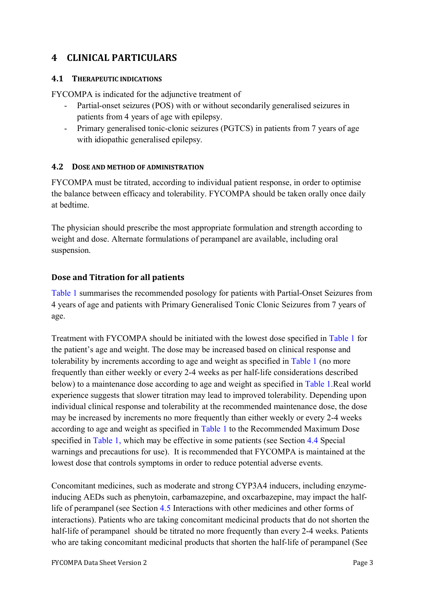# **4 CLINICAL PARTICULARS**

#### **4.1 THERAPEUTIC INDICATIONS**

FYCOMPA is indicated for the adjunctive treatment of

- Partial-onset seizures (POS) with or without secondarily generalised seizures in patients from 4 years of age with epilepsy.
- Primary generalised tonic-clonic seizures (PGTCS) in patients from 7 years of age with idiopathic generalised epilepsy.

### <span id="page-2-0"></span>**4.2 DOSE AND METHOD OF ADMINISTRATION**

FYCOMPA must be titrated, according to individual patient response, in order to optimise the balance between efficacy and tolerability. FYCOMPA should be taken orally once daily at bedtime.

The physician should prescribe the most appropriate formulation and strength according to weight and dose. Alternate formulations of perampanel are available, including oral suspension.

### **Dose and Titration for all patients**

[Table 1](#page-3-0) summarises the recommended posology for patients with Partial-Onset Seizures from 4 years of age and patients with Primary Generalised Tonic Clonic Seizures from 7 years of age.

Treatment with FYCOMPA should be initiated with the lowest dose specified in [Table 1](#page-3-0) for the patient's age and weight. The dose may be increased based on clinical response and tolerability by increments according to age and weight as specified in [Table 1](#page-3-0) (no more frequently than either weekly or every 2-4 weeks as per half-life considerations described below) to a maintenance dose according to age and weight as specified in [Table 1.](#page-3-0)Real world experience suggests that slower titration may lead to improved tolerability. Depending upon individual clinical response and tolerability at the recommended maintenance dose, the dose may be increased by increments no more frequently than either weekly or every 2-4 weeks according to age and weight as specified in [Table 1](#page-3-0) to the Recommended Maximum Dose specified in [Table 1,](#page-3-0) which may be effective in some patients (see Section [4.4](#page-5-0) Special warnings and precautions for use). It is recommended that FYCOMPA is maintained at the lowest dose that controls symptoms in order to reduce potential adverse events.

Concomitant medicines, such as moderate and strong CYP3A4 inducers, including enzymeinducing AEDs such as phenytoin, carbamazepine, and oxcarbazepine, may impact the halflife of perampanel (see Section [4.5](#page-10-0) Interactions with other medicines and other forms of interactions). Patients who are taking concomitant medicinal products that do not shorten the half-life of perampanel should be titrated no more frequently than every 2-4 weeks. Patients who are taking concomitant medicinal products that shorten the half-life of perampanel (See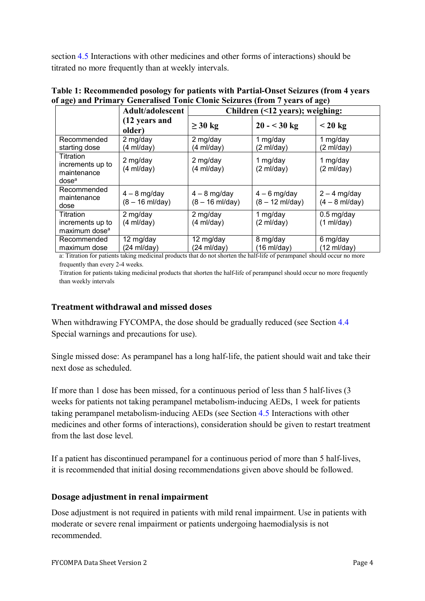section [4.5](#page-10-0) Interactions with other medicines and other forms of interactions) should be titrated no more frequently than at weekly intervals.

| $\mu$ ago, and rammary                                            | $\sigma$ of the distribution of $\sigma$ and $\sigma$ and $\sigma$ and $\sigma$ and $\sigma$<br>Adult/adolescent | Children $($ 12 years); weighing:           |                                             |                                    |  |
|-------------------------------------------------------------------|------------------------------------------------------------------------------------------------------------------|---------------------------------------------|---------------------------------------------|------------------------------------|--|
|                                                                   | (12 years and<br>older)                                                                                          | $\geq 30$ kg                                | $20 - 30$ kg                                | $< 20 \text{ kg}$                  |  |
| Recommended<br>starting dose                                      | 2 mg/day<br>(4 ml/day)                                                                                           | 2 mg/day<br>(4 ml/day)                      | 1 mg/day<br>(2 ml/day)                      | 1 mg/day<br>(2 ml/day)             |  |
| Titration<br>increments up to<br>maintenance<br>dose <sup>a</sup> | 2 mg/day<br>$(4 \text{ ml/day})$                                                                                 | 2 mg/day<br>$(4 \text{ ml/day})$            | 1 mg/day<br>(2 ml/day)                      | 1 mg/day<br>(2 ml/day)             |  |
| Recommended<br>maintenance<br>dose                                | $4 - 8$ mg/day<br>$(8 - 16 \text{ ml/day})$                                                                      | $4 - 8$ mg/day<br>$(8 - 16 \text{ ml/day})$ | $4 - 6$ mg/day<br>$(8 - 12 \text{ ml/day})$ | $2 - 4$ mg/day<br>$(4 - 8$ ml/day) |  |
| Titration<br>increments up to<br>maximum dose <sup>a</sup>        | 2 mg/day<br>$(4 \text{ ml}/day)$                                                                                 | 2 mg/day<br>$(4 \text{ ml/day})$            | 1 mg/day<br>(2 ml/day)                      | $0.5$ mg/day<br>(1 ml/day)         |  |
| Recommended<br>maximum dose                                       | 12 mg/day<br>(24 ml/day)                                                                                         | 12 mg/day<br>$(24 \text{ ml/day})$          | 8 mg/day<br>$(16 \text{ ml/day})$           | 6 mg/day<br>$(12 \text{ ml/day})$  |  |

<span id="page-3-0"></span>**Table 1: Recommended posology for patients with Partial-Onset Seizures (from 4 years of age) and Primary Generalised Tonic Clonic Seizures (from 7 years of age)**

a: Titration for patients taking medicinal products that do not shorten the half-life of perampanel should occur no more frequently than every 2-4 weeks.

Titration for patients taking medicinal products that shorten the half-life of perampanel should occur no more frequently than weekly intervals

## **Treatment withdrawal and missed doses**

When withdrawing FYCOMPA, the dose should be gradually reduced (see Section [4.4](#page-5-0)) Special warnings and precautions for use).

Single missed dose: As perampanel has a long half-life, the patient should wait and take their next dose as scheduled.

If more than 1 dose has been missed, for a continuous period of less than 5 half-lives (3 weeks for patients not taking perampanel metabolism-inducing AEDs, 1 week for patients taking perampanel metabolism-inducing AEDs (see Section [4.5](#page-10-0) Interactions with other medicines and other forms of interactions), consideration should be given to restart treatment from the last dose level.

If a patient has discontinued perampanel for a continuous period of more than 5 half-lives, it is recommended that initial dosing recommendations given above should be followed.

#### **Dosage adjustment in renal impairment**

Dose adjustment is not required in patients with mild renal impairment. Use in patients with moderate or severe renal impairment or patients undergoing haemodialysis is not recommended.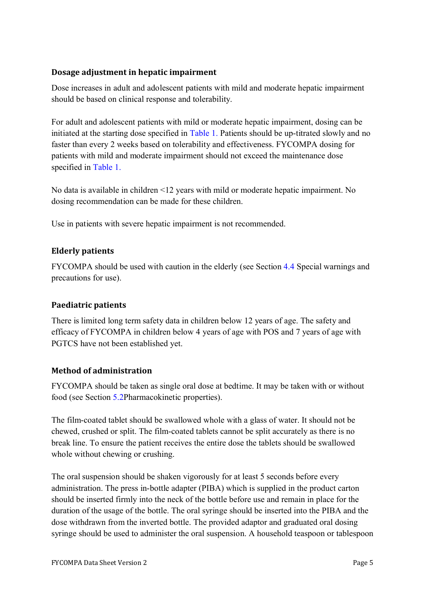#### **Dosage adjustment in hepatic impairment**

Dose increases in adult and adolescent patients with mild and moderate hepatic impairment should be based on clinical response and tolerability.

For adult and adolescent patients with mild or moderate hepatic impairment, dosing can be initiated at the starting dose specified in [Table 1.](#page-3-0) Patients should be up-titrated slowly and no faster than every 2 weeks based on tolerability and effectiveness. FYCOMPA dosing for patients with mild and moderate impairment should not exceed the maintenance dose specified in [Table 1.](#page-3-0)

No data is available in children <12 years with mild or moderate hepatic impairment. No dosing recommendation can be made for these children.

Use in patients with severe hepatic impairment is not recommended.

## **Elderly patients**

FYCOMPA should be used with caution in the elderly (see Section [4.4](#page-5-0) Special warnings and precautions for use).

## **Paediatric patients**

There is limited long term safety data in children below 12 years of age. The safety and efficacy of FYCOMPA in children below 4 years of age with POS and 7 years of age with PGTCS have not been established yet.

## **Method of administration**

FYCOMPA should be taken as single oral dose at bedtime. It may be taken with or without food (see Section [5.2P](#page-26-0)harmacokinetic properties).

The film-coated tablet should be swallowed whole with a glass of water. It should not be chewed, crushed or split. The film-coated tablets cannot be split accurately as there is no break line. To ensure the patient receives the entire dose the tablets should be swallowed whole without chewing or crushing.

The oral suspension should be shaken vigorously for at least 5 seconds before every administration. The press in-bottle adapter (PIBA) which is supplied in the product carton should be inserted firmly into the neck of the bottle before use and remain in place for the duration of the usage of the bottle. The oral syringe should be inserted into the PIBA and the dose withdrawn from the inverted bottle. The provided adaptor and graduated oral dosing syringe should be used to administer the oral suspension. A household teaspoon or tablespoon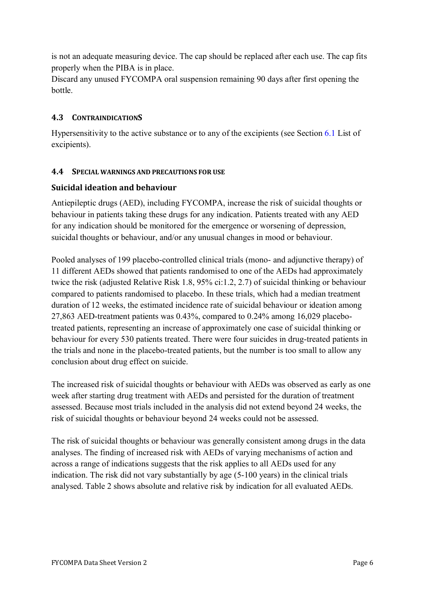is not an adequate measuring device. The cap should be replaced after each use. The cap fits properly when the PIBA is in place.

Discard any unused FYCOMPA oral suspension remaining 90 days after first opening the bottle.

### **4.3 CONTRAINDICATIONS**

Hypersensitivity to the active substance or to any of the excipients (see Section [6.1](#page-29-0) List of excipients).

#### <span id="page-5-0"></span>**4.4 SPECIAL WARNINGS AND PRECAUTIONS FOR USE**

#### **Suicidal ideation and behaviour**

Antiepileptic drugs (AED), including FYCOMPA, increase the risk of suicidal thoughts or behaviour in patients taking these drugs for any indication. Patients treated with any AED for any indication should be monitored for the emergence or worsening of depression, suicidal thoughts or behaviour, and/or any unusual changes in mood or behaviour.

Pooled analyses of 199 placebo-controlled clinical trials (mono- and adjunctive therapy) of 11 different AEDs showed that patients randomised to one of the AEDs had approximately twice the risk (adjusted Relative Risk 1.8, 95% ci:1.2, 2.7) of suicidal thinking or behaviour compared to patients randomised to placebo. In these trials, which had a median treatment duration of 12 weeks, the estimated incidence rate of suicidal behaviour or ideation among 27,863 AED-treatment patients was 0.43%, compared to 0.24% among 16,029 placebotreated patients, representing an increase of approximately one case of suicidal thinking or behaviour for every 530 patients treated. There were four suicides in drug-treated patients in the trials and none in the placebo-treated patients, but the number is too small to allow any conclusion about drug effect on suicide.

The increased risk of suicidal thoughts or behaviour with AEDs was observed as early as one week after starting drug treatment with AEDs and persisted for the duration of treatment assessed. Because most trials included in the analysis did not extend beyond 24 weeks, the risk of suicidal thoughts or behaviour beyond 24 weeks could not be assessed.

The risk of suicidal thoughts or behaviour was generally consistent among drugs in the data analyses. The finding of increased risk with AEDs of varying mechanisms of action and across a range of indications suggests that the risk applies to all AEDs used for any indication. The risk did not vary substantially by age (5-100 years) in the clinical trials analysed. Table 2 shows absolute and relative risk by indication for all evaluated AEDs.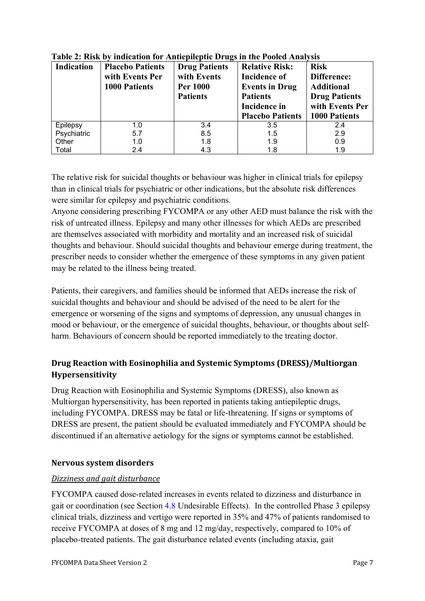| Indication  | <b>Placebo Patients</b><br>with Events Per<br><b>1000 Patients</b> | <b>Drug Patients</b><br>with Events<br><b>Per 1000</b><br><b>Patients</b> | <b>Relative Risk:</b><br><b>Incidence of</b><br><b>Events in Drug</b><br><b>Patients</b><br>Incidence in<br><b>Placebo Patients</b> | <b>Risk</b><br>Difference:<br><b>Additional</b><br><b>Drug Patients</b><br>with Events Per<br><b>1000 Patients</b> |
|-------------|--------------------------------------------------------------------|---------------------------------------------------------------------------|-------------------------------------------------------------------------------------------------------------------------------------|--------------------------------------------------------------------------------------------------------------------|
| Epilepsy    | 1.0                                                                | 3.4                                                                       | 3.5                                                                                                                                 | 2.4                                                                                                                |
| Psychiatric | 5.7                                                                | 8.5                                                                       | 1.5                                                                                                                                 | 2.9                                                                                                                |
| Other       | 1.0                                                                | 1.8                                                                       | 1.9                                                                                                                                 | 0.9                                                                                                                |
| Total       | 2.4                                                                | 4.3                                                                       | 1.8                                                                                                                                 | 1.9                                                                                                                |

**Table 2: Risk by indication for Antiepileptic Drugs in the Pooled Analysis**

The relative risk for suicidal thoughts or behaviour was higher in clinical trials for epilepsy than in clinical trials for psychiatric or other indications, but the absolute risk differences were similar for epilepsy and psychiatric conditions.

Anyone considering prescribing FYCOMPA or any other AED must balance the risk with the risk of untreated illness. Epilepsy and many other illnesses for which AEDs are prescribed are themselves associated with morbidity and mortality and an increased risk of suicidal thoughts and behaviour. Should suicidal thoughts and behaviour emerge during treatment, the prescriber needs to consider whether the emergence of these symptoms in any given patient may be related to the illness being treated.

Patients, their caregivers, and families should be informed that AEDs increase the risk of suicidal thoughts and behaviour and should be advised of the need to be alert for the emergence or worsening of the signs and symptoms of depression, any unusual changes in mood or behaviour, or the emergence of suicidal thoughts, behaviour, or thoughts about selfharm. Behaviours of concern should be reported immediately to the treating doctor.

# **Drug Reaction with Eosinophilia and Systemic Symptoms (DRESS)/Multiorgan Hypersensitivity**

Drug Reaction with Eosinophilia and Systemic Symptoms (DRESS), also known as Multiorgan hypersensitivity, has been reported in patients taking antiepileptic drugs, including FYCOMPA. DRESS may be fatal or life-threatening. If signs or symptoms of DRESS are present, the patient should be evaluated immediately and FYCOMPA should be discontinued if an alternative aetiology for the signs or symptoms cannot be established.

## **Nervous system disorders**

#### *<u>Dizziness</u>* and *gait disturbance*

FYCOMPA caused dose-related increases in events related to dizziness and disturbance in gait or coordination (see Section [4.8](#page-15-0) Undesirable Effects). In the controlled Phase 3 epilepsy clinical trials, dizziness and vertigo were reported in 35% and 47% of patients randomised to receive FYCOMPA at doses of 8 mg and 12 mg/day, respectively, compared to 10% of placebo-treated patients. The gait disturbance related events (including ataxia, gait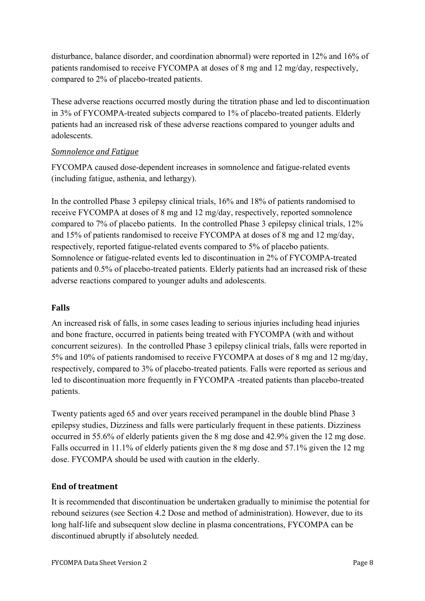disturbance, balance disorder, and coordination abnormal) were reported in 12% and 16% of patients randomised to receive FYCOMPA at doses of 8 mg and 12 mg/day, respectively, compared to 2% of placebo-treated patients.

These adverse reactions occurred mostly during the titration phase and led to discontinuation in 3% of FYCOMPA-treated subjects compared to 1% of placebo-treated patients. Elderly patients had an increased risk of these adverse reactions compared to younger adults and adolescents.

#### **Somnolence and Fatigue**

FYCOMPA caused dose-dependent increases in somnolence and fatigue-related events (including fatigue, asthenia, and lethargy).

In the controlled Phase 3 epilepsy clinical trials, 16% and 18% of patients randomised to receive FYCOMPA at doses of 8 mg and 12 mg/day, respectively, reported somnolence compared to 7% of placebo patients. In the controlled Phase 3 epilepsy clinical trials, 12% and 15% of patients randomised to receive FYCOMPA at doses of 8 mg and 12 mg/day, respectively, reported fatigue-related events compared to 5% of placebo patients. Somnolence or fatigue-related events led to discontinuation in 2% of FYCOMPA-treated patients and 0.5% of placebo-treated patients. Elderly patients had an increased risk of these adverse reactions compared to younger adults and adolescents.

## **Falls**

An increased risk of falls, in some cases leading to serious injuries including head injuries and bone fracture, occurred in patients being treated with FYCOMPA (with and without concurrent seizures). In the controlled Phase 3 epilepsy clinical trials, falls were reported in 5% and 10% of patients randomised to receive FYCOMPA at doses of 8 mg and 12 mg/day, respectively, compared to 3% of placebo-treated patients. Falls were reported as serious and led to discontinuation more frequently in FYCOMPA -treated patients than placebo-treated patients.

Twenty patients aged 65 and over years received perampanel in the double blind Phase 3 epilepsy studies, Dizziness and falls were particularly frequent in these patients. Dizziness occurred in 55.6% of elderly patients given the 8 mg dose and 42.9% given the 12 mg dose. Falls occurred in 11.1% of elderly patients given the 8 mg dose and 57.1% given the 12 mg dose. FYCOMPA should be used with caution in the elderly.

## **End of treatment**

It is recommended that discontinuation be undertaken gradually to minimise the potential for rebound seizures (see Section 4.2 Dose and method of administration). However, due to its long half-life and subsequent slow decline in plasma concentrations, FYCOMPA can be discontinued abruptly if absolutely needed.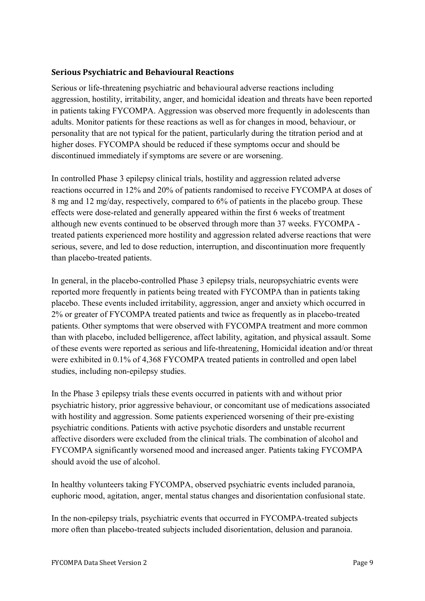#### **Serious Psychiatric and Behavioural Reactions**

Serious or life-threatening psychiatric and behavioural adverse reactions including aggression, hostility, irritability, anger, and homicidal ideation and threats have been reported in patients taking FYCOMPA. Aggression was observed more frequently in adolescents than adults. Monitor patients for these reactions as well as for changes in mood, behaviour, or personality that are not typical for the patient, particularly during the titration period and at higher doses. FYCOMPA should be reduced if these symptoms occur and should be discontinued immediately if symptoms are severe or are worsening.

In controlled Phase 3 epilepsy clinical trials, hostility and aggression related adverse reactions occurred in 12% and 20% of patients randomised to receive FYCOMPA at doses of 8 mg and 12 mg/day, respectively, compared to 6% of patients in the placebo group. These effects were dose-related and generally appeared within the first 6 weeks of treatment although new events continued to be observed through more than 37 weeks. FYCOMPA treated patients experienced more hostility and aggression related adverse reactions that were serious, severe, and led to dose reduction, interruption, and discontinuation more frequently than placebo-treated patients.

In general, in the placebo-controlled Phase 3 epilepsy trials, neuropsychiatric events were reported more frequently in patients being treated with FYCOMPA than in patients taking placebo. These events included irritability, aggression, anger and anxiety which occurred in 2% or greater of FYCOMPA treated patients and twice as frequently as in placebo-treated patients. Other symptoms that were observed with FYCOMPA treatment and more common than with placebo, included belligerence, affect lability, agitation, and physical assault. Some of these events were reported as serious and life-threatening, Homicidal ideation and/or threat were exhibited in 0.1% of 4,368 FYCOMPA treated patients in controlled and open label studies, including non-epilepsy studies.

In the Phase 3 epilepsy trials these events occurred in patients with and without prior psychiatric history, prior aggressive behaviour, or concomitant use of medications associated with hostility and aggression. Some patients experienced worsening of their pre-existing psychiatric conditions. Patients with active psychotic disorders and unstable recurrent affective disorders were excluded from the clinical trials. The combination of alcohol and FYCOMPA significantly worsened mood and increased anger. Patients taking FYCOMPA should avoid the use of alcohol.

In healthy volunteers taking FYCOMPA, observed psychiatric events included paranoia, euphoric mood, agitation, anger, mental status changes and disorientation confusional state.

In the non-epilepsy trials, psychiatric events that occurred in FYCOMPA-treated subjects more often than placebo-treated subjects included disorientation, delusion and paranoia.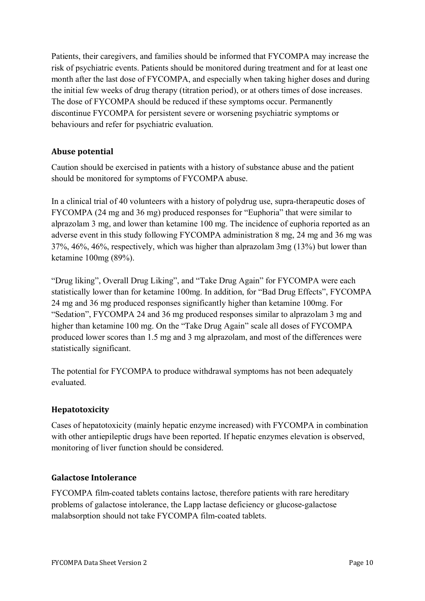Patients, their caregivers, and families should be informed that FYCOMPA may increase the risk of psychiatric events. Patients should be monitored during treatment and for at least one month after the last dose of FYCOMPA, and especially when taking higher doses and during the initial few weeks of drug therapy (titration period), or at others times of dose increases. The dose of FYCOMPA should be reduced if these symptoms occur. Permanently discontinue FYCOMPA for persistent severe or worsening psychiatric symptoms or behaviours and refer for psychiatric evaluation.

## **Abuse potential**

Caution should be exercised in patients with a history of substance abuse and the patient should be monitored for symptoms of FYCOMPA abuse.

In a clinical trial of 40 volunteers with a history of polydrug use, supra-therapeutic doses of FYCOMPA (24 mg and 36 mg) produced responses for "Euphoria" that were similar to alprazolam 3 mg, and lower than ketamine 100 mg. The incidence of euphoria reported as an adverse event in this study following FYCOMPA administration 8 mg, 24 mg and 36 mg was 37%, 46%, 46%, respectively, which was higher than alprazolam 3mg (13%) but lower than ketamine 100mg (89%).

"Drug liking", Overall Drug Liking", and "Take Drug Again" for FYCOMPA were each statistically lower than for ketamine 100mg. In addition, for "Bad Drug Effects", FYCOMPA 24 mg and 36 mg produced responses significantly higher than ketamine 100mg. For "Sedation", FYCOMPA 24 and 36 mg produced responses similar to alprazolam 3 mg and higher than ketamine 100 mg. On the "Take Drug Again" scale all doses of FYCOMPA produced lower scores than 1.5 mg and 3 mg alprazolam, and most of the differences were statistically significant.

The potential for FYCOMPA to produce withdrawal symptoms has not been adequately evaluated.

## **Hepatotoxicity**

Cases of hepatotoxicity (mainly hepatic enzyme increased) with FYCOMPA in combination with other antiepileptic drugs have been reported. If hepatic enzymes elevation is observed, monitoring of liver function should be considered.

#### **Galactose Intolerance**

FYCOMPA film-coated tablets contains lactose, therefore patients with rare hereditary problems of galactose intolerance, the Lapp lactase deficiency or glucose-galactose malabsorption should not take FYCOMPA film-coated tablets.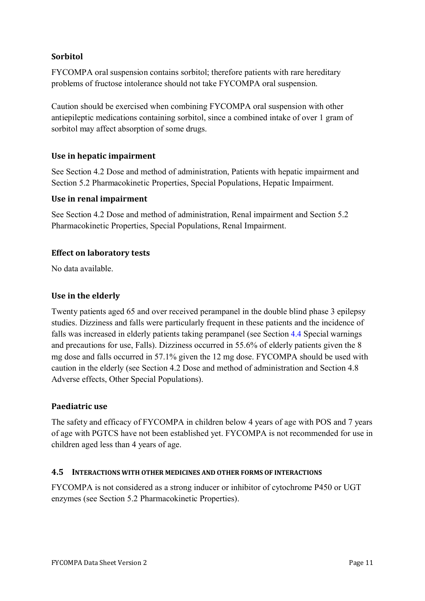### **Sorbitol**

FYCOMPA oral suspension contains sorbitol; therefore patients with rare hereditary problems of fructose intolerance should not take FYCOMPA oral suspension.

Caution should be exercised when combining FYCOMPA oral suspension with other antiepileptic medications containing sorbitol, since a combined intake of over 1 gram of sorbitol may affect absorption of some drugs.

### Use in hepatic impairment

See Section 4.2 Dose and method of administration, Patients with hepatic impairment and Section 5.2 Pharmacokinetic Properties, Special Populations, Hepatic Impairment.

#### **Use in renal impairment**

See Section 4.2 Dose and method of administration, Renal impairment and Section 5.2 Pharmacokinetic Properties, Special Populations, Renal Impairment.

#### **Effect on laboratory tests**

No data available.

#### Use in the elderly

Twenty patients aged 65 and over received perampanel in the double blind phase 3 epilepsy studies. Dizziness and falls were particularly frequent in these patients and the incidence of falls was increased in elderly patients taking perampanel (see Section [4.4](#page-5-0) Special warnings and precautions for use, Falls). Dizziness occurred in 55.6% of elderly patients given the 8 mg dose and falls occurred in 57.1% given the 12 mg dose. FYCOMPA should be used with caution in the elderly (see Section 4.2 Dose and method of administration and Section 4.8 Adverse effects, Other Special Populations).

#### **Paediatric** use

The safety and efficacy of FYCOMPA in children below 4 years of age with POS and 7 years of age with PGTCS have not been established yet. FYCOMPA is not recommended for use in children aged less than 4 years of age.

#### <span id="page-10-0"></span>**4.5 INTERACTIONS WITH OTHER MEDICINES AND OTHER FORMS OF INTERACTIONS**

FYCOMPA is not considered as a strong inducer or inhibitor of cytochrome P450 or UGT enzymes (see Section 5.2 Pharmacokinetic Properties).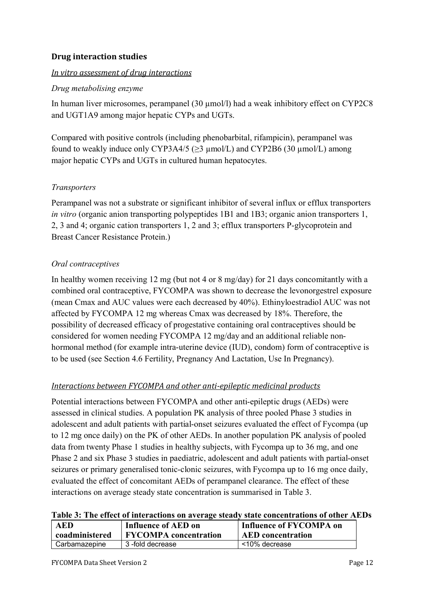### **Drug** interaction studies

#### *<u>In vitro assessment of drug interactions</u>*

#### *Drug metabolising enzyme*

In human liver microsomes, perampanel (30  $\mu$ mol/l) had a weak inhibitory effect on CYP2C8 and UGT1A9 among major hepatic CYPs and UGTs.

Compared with positive controls (including phenobarbital, rifampicin), perampanel was found to weakly induce only CYP3A4/5 ( $\geq$ 3 µmol/L) and CYP2B6 (30 µmol/L) among major hepatic CYPs and UGTs in cultured human hepatocytes.

#### *Transporters*

Perampanel was not a substrate or significant inhibitor of several influx or efflux transporters *in vitro* (organic anion transporting polypeptides 1B1 and 1B3; organic anion transporters 1, 2, 3 and 4; organic cation transporters 1, 2 and 3; efflux transporters P-glycoprotein and Breast Cancer Resistance Protein.)

### *Oral contraceptives*

In healthy women receiving 12 mg (but not 4 or 8 mg/day) for 21 days concomitantly with a combined oral contraceptive, FYCOMPA was shown to decrease the levonorgestrel exposure (mean Cmax and AUC values were each decreased by 40%). Ethinyloestradiol AUC was not affected by FYCOMPA 12 mg whereas Cmax was decreased by 18%. Therefore, the possibility of decreased efficacy of progestative containing oral contraceptives should be considered for women needing FYCOMPA 12 mg/day and an additional reliable nonhormonal method (for example intra-uterine device (IUD), condom) form of contraceptive is to be used (see Section 4.6 Fertility, Pregnancy And Lactation, Use In Pregnancy).

## *Interactions between FYCOMPA and other anti-epileptic medicinal products*

Potential interactions between FYCOMPA and other anti-epileptic drugs (AEDs) were assessed in clinical studies. A population PK analysis of three pooled Phase 3 studies in adolescent and adult patients with partial-onset seizures evaluated the effect of Fycompa (up to 12 mg once daily) on the PK of other AEDs. In another population PK analysis of pooled data from twenty Phase 1 studies in healthy subjects, with Fycompa up to 36 mg, and one Phase 2 and six Phase 3 studies in paediatric, adolescent and adult patients with partial-onset seizures or primary generalised tonic-clonic seizures, with Fycompa up to 16 mg once daily, evaluated the effect of concomitant AEDs of perampanel clearance. The effect of these interactions on average steady state concentration is summarised in Table 3.

|  | Table 3: The effect of interactions on average steady state concentrations of other AEDs |  |  |
|--|------------------------------------------------------------------------------------------|--|--|
|  |                                                                                          |  |  |

| AED            | Influence of AED on          | Influence of FYCOMPA on  |
|----------------|------------------------------|--------------------------|
| coadministered | <b>FYCOMPA</b> concentration | <b>AED</b> concentration |
| Carbamazepine  | 3-fold decrease              | <10% decrease            |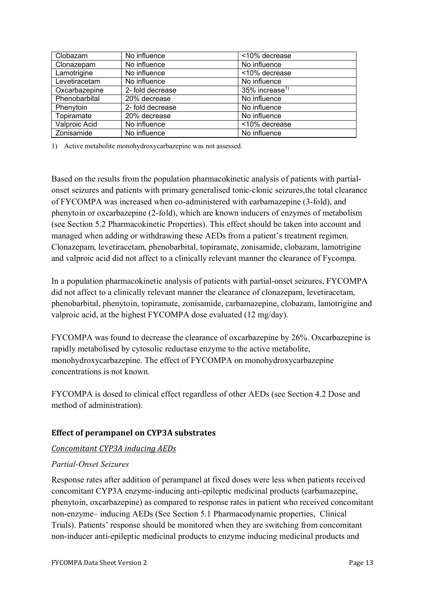| Clobazam      | No influence     | <10% decrease              |
|---------------|------------------|----------------------------|
| Clonazepam    | No influence     | No influence               |
| Lamotrigine   | No influence     | <10% decrease              |
| Levetiracetam | No influence     | No influence               |
| Oxcarbazepine | 2- fold decrease | 35% increase <sup>1)</sup> |
| Phenobarbital | 20% decrease     | No influence               |
| Phenytoin     | 2- fold decrease | No influence               |
| Topiramate    | 20% decrease     | No influence               |
| Valproic Acid | No influence     | <10% decrease              |
| Zonisamide    | No influence     | No influence               |

1) Active metabolite monohydroxycarbazepine was not assessed.

Based on the results from the population pharmacokinetic analysis of patients with partialonset seizures and patients with primary generalised tonic-clonic seizures,the total clearance of FYCOMPA was increased when co-administered with carbamazepine (3-fold), and phenytoin or oxcarbazepine (2-fold), which are known inducers of enzymes of metabolism (see Section 5.2 Pharmacokinetic Properties). This effect should be taken into account and managed when adding or withdrawing these AEDs from a patient's treatment regimen. Clonazepam, levetiracetam, phenobarbital, topiramate, zonisamide, clobazam, lamotrigine and valproic acid did not affect to a clinically relevant manner the clearance of Fycompa.

In a population pharmacokinetic analysis of patients with partial-onset seizures, FYCOMPA did not affect to a clinically relevant manner the clearance of clonazepam, levetiracetam, phenobarbital, phenytoin, topiramate, zonisamide, carbamazepine, clobazam, lamotrigine and valproic acid, at the highest FYCOMPA dose evaluated (12 mg/day).

FYCOMPA was found to decrease the clearance of oxcarbazepine by 26%. Oxcarbazepine is rapidly metabolised by cytosolic reductase enzyme to the active metabolite, monohydroxycarbazepine. The effect of FYCOMPA on monohydroxycarbazepine concentrations is not known.

FYCOMPA is dosed to clinical effect regardless of other AEDs (see Section 4.2 Dose and method of administration).

## **Effect of perampanel on CYP3A substrates**

#### *Concomitant CYP3A inducing AEDs*

#### *Partial-Onset Seizures*

Response rates after addition of perampanel at fixed doses were less when patients received concomitant CYP3A enzyme-inducing anti-epileptic medicinal products (carbamazepine, phenytoin, oxcarbazepine) as compared to response rates in patient who received concomitant non-enzyme– inducing AEDs (See Section 5.1 Pharmacodynamic properties, Clinical Trials). Patients' response should be monitored when they are switching from concomitant non-inducer anti-epileptic medicinal products to enzyme inducing medicinal products and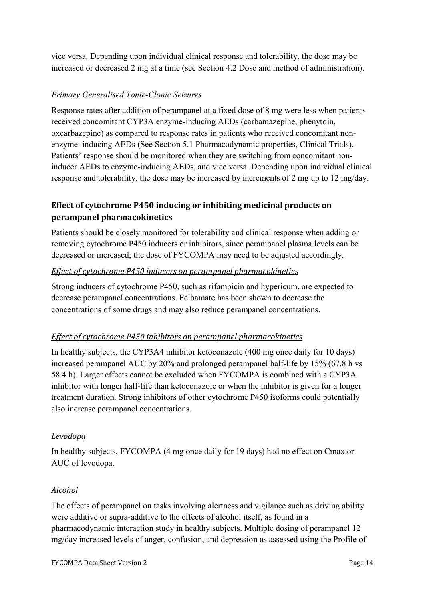vice versa. Depending upon individual clinical response and tolerability, the dose may be increased or decreased 2 mg at a time (see Section 4.2 Dose and method of administration).

## *Primary Generalised Tonic-Clonic Seizures*

Response rates after addition of perampanel at a fixed dose of 8 mg were less when patients received concomitant CYP3A enzyme-inducing AEDs (carbamazepine, phenytoin, oxcarbazepine) as compared to response rates in patients who received concomitant nonenzyme–inducing AEDs (See Section 5.1 Pharmacodynamic properties, Clinical Trials). Patients' response should be monitored when they are switching from concomitant noninducer AEDs to enzyme-inducing AEDs, and vice versa. Depending upon individual clinical response and tolerability, the dose may be increased by increments of 2 mg up to 12 mg/day.

## **Effect of cytochrome P450 inducing or inhibiting medicinal products on perampanel pharmacokinetics**

Patients should be closely monitored for tolerability and clinical response when adding or removing cytochrome P450 inducers or inhibitors, since perampanel plasma levels can be decreased or increased; the dose of FYCOMPA may need to be adjusted accordingly.

#### *Effect of cytochrome P450 inducers on perampanel pharmacokinetics*

Strong inducers of cytochrome P450, such as rifampicin and hypericum, are expected to decrease perampanel concentrations. Felbamate has been shown to decrease the concentrations of some drugs and may also reduce perampanel concentrations.

#### *Effect of cytochrome P450 inhibitors on perampanel pharmacokinetics*

In healthy subjects, the CYP3A4 inhibitor ketoconazole (400 mg once daily for 10 days) increased perampanel AUC by 20% and prolonged perampanel half-life by 15% (67.8 h vs 58.4 h). Larger effects cannot be excluded when FYCOMPA is combined with a CYP3A inhibitor with longer half-life than ketoconazole or when the inhibitor is given for a longer treatment duration. Strong inhibitors of other cytochrome P450 isoforms could potentially also increase perampanel concentrations.

#### *Levodopa*

In healthy subjects, FYCOMPA (4 mg once daily for 19 days) had no effect on Cmax or AUC of levodopa.

#### *Alcohol*

The effects of perampanel on tasks involving alertness and vigilance such as driving ability were additive or supra-additive to the effects of alcohol itself, as found in a pharmacodynamic interaction study in healthy subjects. Multiple dosing of perampanel 12 mg/day increased levels of anger, confusion, and depression as assessed using the Profile of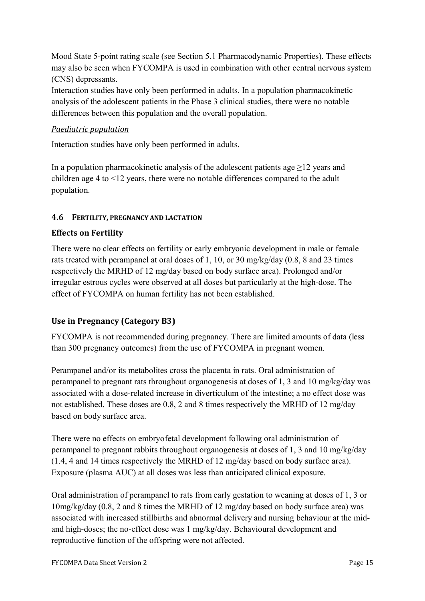Mood State 5-point rating scale (see Section 5.1 Pharmacodynamic Properties). These effects may also be seen when FYCOMPA is used in combination with other central nervous system (CNS) depressants.

Interaction studies have only been performed in adults. In a population pharmacokinetic analysis of the adolescent patients in the Phase 3 clinical studies, there were no notable differences between this population and the overall population.

#### *Paediatric population*

Interaction studies have only been performed in adults.

In a population pharmacokinetic analysis of the adolescent patients age  $\geq$ 12 years and children age 4 to <12 years, there were no notable differences compared to the adult population.

### **4.6 FERTILITY, PREGNANCY AND LACTATION**

### **Effects on Fertility**

There were no clear effects on fertility or early embryonic development in male or female rats treated with perampanel at oral doses of 1, 10, or 30 mg/kg/day (0.8, 8 and 23 times respectively the MRHD of 12 mg/day based on body surface area). Prolonged and/or irregular estrous cycles were observed at all doses but particularly at the high-dose. The effect of FYCOMPA on human fertility has not been established.

## Use in Pregnancy (Category B3)

FYCOMPA is not recommended during pregnancy. There are limited amounts of data (less than 300 pregnancy outcomes) from the use of FYCOMPA in pregnant women.

Perampanel and/or its metabolites cross the placenta in rats. Oral administration of perampanel to pregnant rats throughout organogenesis at doses of 1, 3 and 10 mg/kg/day was associated with a dose-related increase in diverticulum of the intestine; a no effect dose was not established. These doses are 0.8, 2 and 8 times respectively the MRHD of 12 mg/day based on body surface area.

There were no effects on embryofetal development following oral administration of perampanel to pregnant rabbits throughout organogenesis at doses of 1, 3 and 10 mg/kg/day (1.4, 4 and 14 times respectively the MRHD of 12 mg/day based on body surface area). Exposure (plasma AUC) at all doses was less than anticipated clinical exposure.

Oral administration of perampanel to rats from early gestation to weaning at doses of 1, 3 or 10mg/kg/day (0.8, 2 and 8 times the MRHD of 12 mg/day based on body surface area) was associated with increased stillbirths and abnormal delivery and nursing behaviour at the midand high-doses; the no-effect dose was 1 mg/kg/day. Behavioural development and reproductive function of the offspring were not affected.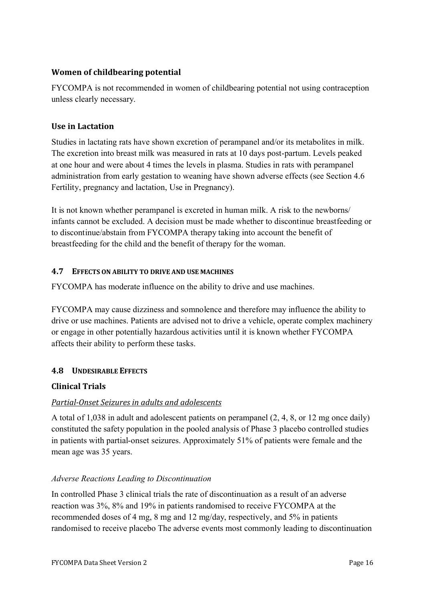## **Women of childbearing potential**

FYCOMPA is not recommended in women of childbearing potential not using contraception unless clearly necessary.

### **Use in Lactation**

Studies in lactating rats have shown excretion of perampanel and/or its metabolites in milk. The excretion into breast milk was measured in rats at 10 days post-partum. Levels peaked at one hour and were about 4 times the levels in plasma. Studies in rats with perampanel administration from early gestation to weaning have shown adverse effects (see Section 4.6 Fertility, pregnancy and lactation, Use in Pregnancy).

It is not known whether perampanel is excreted in human milk. A risk to the newborns/ infants cannot be excluded. A decision must be made whether to discontinue breastfeeding or to discontinue/abstain from FYCOMPA therapy taking into account the benefit of breastfeeding for the child and the benefit of therapy for the woman.

### **4.7 EFFECTS ON ABILITY TO DRIVE AND USE MACHINES**

FYCOMPA has moderate influence on the ability to drive and use machines.

FYCOMPA may cause dizziness and somnolence and therefore may influence the ability to drive or use machines. Patients are advised not to drive a vehicle, operate complex machinery or engage in other potentially hazardous activities until it is known whether FYCOMPA affects their ability to perform these tasks.

#### <span id="page-15-0"></span>**4.8 UNDESIRABLE EFFECTS**

#### **Clinical Trials**

#### *Partial-Onset Seizures in adults and adolescents*

A total of 1,038 in adult and adolescent patients on perampanel (2, 4, 8, or 12 mg once daily) constituted the safety population in the pooled analysis of Phase 3 placebo controlled studies in patients with partial-onset seizures. Approximately 51% of patients were female and the mean age was 35 years.

#### *Adverse Reactions Leading to Discontinuation*

In controlled Phase 3 clinical trials the rate of discontinuation as a result of an adverse reaction was 3%, 8% and 19% in patients randomised to receive FYCOMPA at the recommended doses of 4 mg, 8 mg and 12 mg/day, respectively, and 5% in patients randomised to receive placebo The adverse events most commonly leading to discontinuation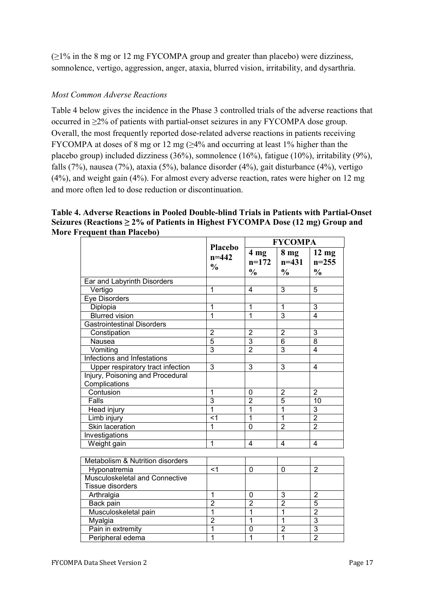$(\geq 1\%$  in the 8 mg or 12 mg FYCOMPA group and greater than placebo) were dizziness, somnolence, vertigo, aggression, anger, ataxia, blurred vision, irritability, and dysarthria.

#### *Most Common Adverse Reactions*

Table 4 below gives the incidence in the Phase 3 controlled trials of the adverse reactions that occurred in ≥2% of patients with partial-onset seizures in any FYCOMPA dose group. Overall, the most frequently reported dose-related adverse reactions in patients receiving FYCOMPA at doses of 8 mg or 12 mg ( $\geq$ 4% and occurring at least 1% higher than the placebo group) included dizziness (36%), somnolence (16%), fatigue (10%), irritability (9%), falls (7%), nausea (7%), ataxia (5%), balance disorder (4%), gait disturbance (4%), vertigo (4%), and weight gain (4%). For almost every adverse reaction, rates were higher on 12 mg and more often led to dose reduction or discontinuation.

#### **Table 4. Adverse Reactions in Pooled Double-blind Trials in Patients with Partial-Onset Seizures (Reactions ≥ 2% of Patients in Highest FYCOMPA Dose (12 mg) Group and More Frequent than Placebo) FYCOMPA**

|                         | FYCOMPA                                                                                                                                                                                            |                                                                                                                                                                                     |                                                                                                                                                                          |  |
|-------------------------|----------------------------------------------------------------------------------------------------------------------------------------------------------------------------------------------------|-------------------------------------------------------------------------------------------------------------------------------------------------------------------------------------|--------------------------------------------------------------------------------------------------------------------------------------------------------------------------|--|
| $n = 442$               | 4 <sub>mg</sub><br>$n=172$                                                                                                                                                                         | 8 <sub>mg</sub><br>$n = 431$                                                                                                                                                        | $12 \text{ mg}$<br>$n = 255$                                                                                                                                             |  |
|                         | $\frac{0}{0}$                                                                                                                                                                                      | $\frac{0}{0}$                                                                                                                                                                       | $\frac{0}{0}$                                                                                                                                                            |  |
|                         |                                                                                                                                                                                                    |                                                                                                                                                                                     |                                                                                                                                                                          |  |
| 1                       | $\overline{4}$                                                                                                                                                                                     | 3                                                                                                                                                                                   | 5                                                                                                                                                                        |  |
|                         |                                                                                                                                                                                                    |                                                                                                                                                                                     |                                                                                                                                                                          |  |
| 1                       |                                                                                                                                                                                                    | 1                                                                                                                                                                                   | $\overline{3}$                                                                                                                                                           |  |
|                         |                                                                                                                                                                                                    |                                                                                                                                                                                     | $\overline{4}$                                                                                                                                                           |  |
|                         |                                                                                                                                                                                                    |                                                                                                                                                                                     |                                                                                                                                                                          |  |
|                         |                                                                                                                                                                                                    |                                                                                                                                                                                     | 3                                                                                                                                                                        |  |
|                         |                                                                                                                                                                                                    |                                                                                                                                                                                     | $\overline{8}$                                                                                                                                                           |  |
|                         |                                                                                                                                                                                                    |                                                                                                                                                                                     | $\overline{4}$                                                                                                                                                           |  |
|                         |                                                                                                                                                                                                    |                                                                                                                                                                                     |                                                                                                                                                                          |  |
|                         |                                                                                                                                                                                                    |                                                                                                                                                                                     | $\overline{\mathbf{4}}$                                                                                                                                                  |  |
|                         |                                                                                                                                                                                                    |                                                                                                                                                                                     |                                                                                                                                                                          |  |
| $\mathbf{1}$            | $\mathbf 0$                                                                                                                                                                                        | $\overline{2}$                                                                                                                                                                      | $\overline{2}$                                                                                                                                                           |  |
| $\overline{3}$          | $\overline{2}$                                                                                                                                                                                     | $\overline{5}$                                                                                                                                                                      | 10                                                                                                                                                                       |  |
| 1                       | $\overline{1}$                                                                                                                                                                                     | $\overline{1}$                                                                                                                                                                      | 3                                                                                                                                                                        |  |
| $\overline{\mathbf{A}}$ | $\overline{1}$                                                                                                                                                                                     | $\overline{1}$                                                                                                                                                                      | $\overline{2}$                                                                                                                                                           |  |
| $\overline{1}$          | $\overline{0}$                                                                                                                                                                                     | $\overline{2}$                                                                                                                                                                      | $\overline{2}$                                                                                                                                                           |  |
|                         |                                                                                                                                                                                                    |                                                                                                                                                                                     |                                                                                                                                                                          |  |
| $\overline{1}$          | $\overline{4}$                                                                                                                                                                                     | 4                                                                                                                                                                                   | 4                                                                                                                                                                        |  |
|                         |                                                                                                                                                                                                    |                                                                                                                                                                                     |                                                                                                                                                                          |  |
|                         |                                                                                                                                                                                                    |                                                                                                                                                                                     |                                                                                                                                                                          |  |
| $<$ 1                   | 0                                                                                                                                                                                                  | 0                                                                                                                                                                                   | $\overline{2}$                                                                                                                                                           |  |
|                         |                                                                                                                                                                                                    |                                                                                                                                                                                     |                                                                                                                                                                          |  |
|                         |                                                                                                                                                                                                    |                                                                                                                                                                                     |                                                                                                                                                                          |  |
|                         | 0                                                                                                                                                                                                  |                                                                                                                                                                                     | $\overline{2}$                                                                                                                                                           |  |
|                         |                                                                                                                                                                                                    |                                                                                                                                                                                     | 5                                                                                                                                                                        |  |
|                         |                                                                                                                                                                                                    |                                                                                                                                                                                     | $\overline{2}$                                                                                                                                                           |  |
|                         |                                                                                                                                                                                                    |                                                                                                                                                                                     | $\overline{3}$                                                                                                                                                           |  |
|                         |                                                                                                                                                                                                    |                                                                                                                                                                                     | $\overline{3}$                                                                                                                                                           |  |
|                         |                                                                                                                                                                                                    |                                                                                                                                                                                     | $\overline{2}$                                                                                                                                                           |  |
|                         | Placebo<br>$\frac{0}{0}$<br>1<br>$\overline{2}$<br>$\overline{5}$<br>$\overline{3}$<br>3<br>$\mathbf{1}$<br>$\overline{2}$<br>$\overline{1}$<br>$\overline{2}$<br>$\overline{1}$<br>$\overline{1}$ | $\mathbf{1}$<br>$\overline{1}$<br>$\overline{2}$<br>$\overline{3}$<br>$\overline{2}$<br>$\overline{3}$<br>$\overline{2}$<br>$\overline{1}$<br>$\overline{1}$<br>$\overline{0}$<br>1 | $\overline{3}$<br>$\overline{2}$<br>$\overline{6}$<br>3<br>$\overline{3}$<br>3<br>$\overline{2}$<br>$\overline{1}$<br>$\overline{1}$<br>$\overline{2}$<br>$\overline{1}$ |  |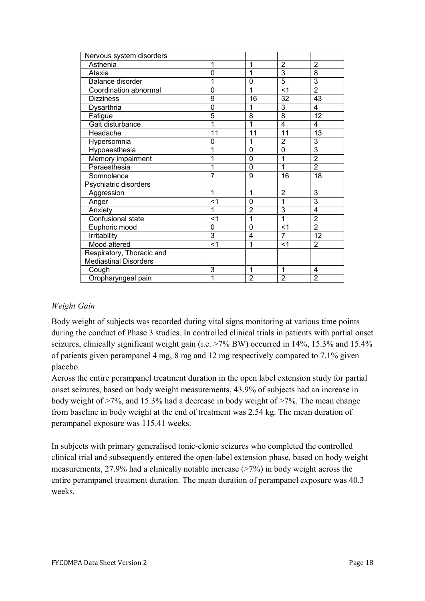| 1              | 1              | $\overline{2}$ | $\overline{2}$  |
|----------------|----------------|----------------|-----------------|
| 0              | 1              | $\overline{3}$ | $\overline{8}$  |
| 1              | 0              | 5              | $\overline{3}$  |
| 0              | 1              | <1             | $\overline{2}$  |
| 9              | 16             | 32             | $\overline{43}$ |
| $\overline{0}$ | 1              | 3              | 4               |
| 5              | 8              | $\overline{8}$ | 12              |
| 1              | 1              | 4              | 4               |
| 11             | 11             | 11             | 13              |
| 0              | 1              | $\overline{2}$ | 3               |
| 1              | 0              | 0              | $\overline{3}$  |
| 1              | 0              | 1              | $\overline{2}$  |
| 1              | $\overline{0}$ | 1              | $\overline{2}$  |
| $\overline{7}$ | 9              | 16             | 18              |
|                |                |                |                 |
| 1              | 1              | $\overline{2}$ | 3               |
| <1             | 0              | 1              | 3               |
| 1              | $\overline{2}$ | 3              | $\overline{4}$  |
| $<$ 1          | 1              | $\overline{1}$ | $\overline{2}$  |
| 0              | 0              | $<$ 1          | $\overline{2}$  |
|                | 4              | 7              | 12              |
| $<$ 1          | 1              | $<$ 1          | $\overline{2}$  |
|                |                |                |                 |
|                |                |                |                 |
|                | 1              | 1              | 4               |
| 1              |                |                | $\overline{2}$  |
|                | 3<br>3         | $\overline{2}$ | $\overline{2}$  |

#### *Weight Gain*

Body weight of subjects was recorded during vital signs monitoring at various time points during the conduct of Phase 3 studies. In controlled clinical trials in patients with partial onset seizures, clinically significant weight gain (i.e. >7% BW) occurred in 14%, 15.3% and 15.4% of patients given perampanel 4 mg, 8 mg and 12 mg respectively compared to 7.1% given placebo.

Across the entire perampanel treatment duration in the open label extension study for partial onset seizures, based on body weight measurements, 43.9% of subjects had an increase in body weight of >7%, and 15.3% had a decrease in body weight of >7%. The mean change from baseline in body weight at the end of treatment was 2.54 kg. The mean duration of perampanel exposure was 115.41 weeks.

In subjects with primary generalised tonic-clonic seizures who completed the controlled clinical trial and subsequently entered the open-label extension phase, based on body weight measurements, 27.9% had a clinically notable increase (>7%) in body weight across the entire perampanel treatment duration. The mean duration of perampanel exposure was 40.3 weeks.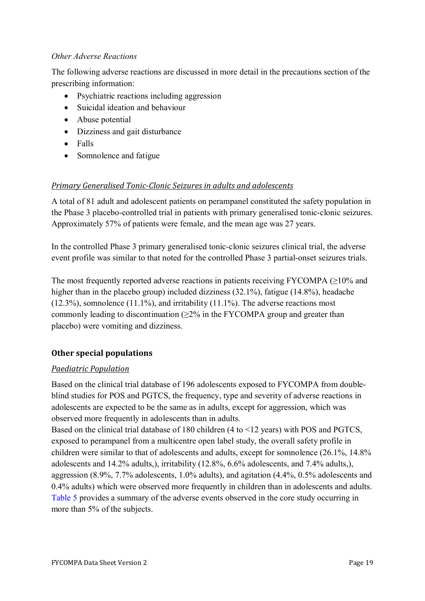### *Other Adverse Reactions*

The following adverse reactions are discussed in more detail in the precautions section of the prescribing information:

- Psychiatric reactions including aggression
- Suicidal ideation and behaviour
- Abuse potential
- Dizziness and gait disturbance
- Falls
- Somnolence and fatigue

## *Primary Generalised Tonic-Clonic Seizures in adults and adolescents*

A total of 81 adult and adolescent patients on perampanel constituted the safety population in the Phase 3 placebo-controlled trial in patients with primary generalised tonic-clonic seizures. Approximately 57% of patients were female, and the mean age was 27 years.

In the controlled Phase 3 primary generalised tonic-clonic seizures clinical trial, the adverse event profile was similar to that noted for the controlled Phase 3 partial-onset seizures trials.

The most frequently reported adverse reactions in patients receiving FYCOMPA  $(\geq 10\%$  and higher than in the placebo group) included dizziness (32.1%), fatigue (14.8%), headache  $(12.3\%)$ , somnolence  $(11.1\%)$ , and irritability  $(11.1\%)$ . The adverse reactions most commonly leading to discontinuation  $(\geq 2\%$  in the FYCOMPA group and greater than placebo) were vomiting and dizziness.

## **Other special populations**

#### *Paediatric Population*

Based on the clinical trial database of 196 adolescents exposed to FYCOMPA from doubleblind studies for POS and PGTCS, the frequency, type and severity of adverse reactions in adolescents are expected to be the same as in adults, except for aggression, which was observed more frequently in adolescents than in adults.

Based on the clinical trial database of 180 children (4 to <12 years) with POS and PGTCS, exposed to perampanel from a multicentre open label study, the overall safety profile in children were similar to that of adolescents and adults, except for somnolence (26.1%, 14.8% adolescents and 14.2% adults,), irritability (12.8%, 6.6% adolescents, and 7.4% adults,), aggression (8.9%, 7.7% adolescents, 1.0% adults), and agitation (4.4%, 0.5% adolescents and 0.4% adults) which were observed more frequently in children than in adolescents and adults. [Table 5](#page-19-0) provides a summary of the adverse events observed in the core study occurring in more than 5% of the subjects.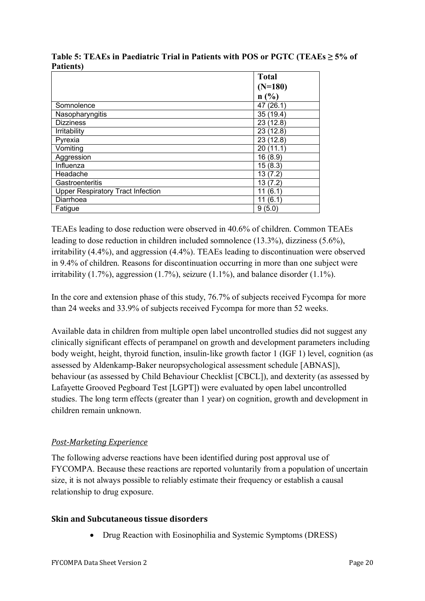|                                          | <b>Total</b> |
|------------------------------------------|--------------|
|                                          | $(N=180)$    |
|                                          | n(%)         |
| Somnolence                               | 47 (26.1)    |
| Nasopharyngitis                          | 35 (19.4)    |
| <b>Dizziness</b>                         | 23(12.8)     |
| Irritability                             | 23 (12.8)    |
| Pyrexia                                  | 23(12.8)     |
| Vomiting                                 | 20(11.1)     |
| Aggression                               | 16(8.9)      |
| Influenza                                | 15(8.3)      |
| Headache                                 | 13(7.2)      |
| Gastroenteritis                          | 13(7.2)      |
| <b>Upper Respiratory Tract Infection</b> | 11<br>(6.1)  |
| Diarrhoea                                | (6.1)<br>11  |
| Fatigue                                  | 9(5.0)       |

<span id="page-19-0"></span>**Table 5: TEAEs in Paediatric Trial in Patients with POS or PGTC (TEAEs ≥ 5% of Patients)**

TEAEs leading to dose reduction were observed in 40.6% of children. Common TEAEs leading to dose reduction in children included somnolence (13.3%), dizziness (5.6%), irritability (4.4%), and aggression (4.4%). TEAEs leading to discontinuation were observed in 9.4% of children. Reasons for discontinuation occurring in more than one subject were irritability (1.7%), aggression (1.7%), seizure (1.1%), and balance disorder (1.1%).

In the core and extension phase of this study, 76.7% of subjects received Fycompa for more than 24 weeks and 33.9% of subjects received Fycompa for more than 52 weeks.

Available data in children from multiple open label uncontrolled studies did not suggest any clinically significant effects of perampanel on growth and development parameters including body weight, height, thyroid function, insulin-like growth factor 1 (IGF 1) level, cognition (as assessed by Aldenkamp-Baker neuropsychological assessment schedule [ABNAS]), behaviour (as assessed by Child Behaviour Checklist [CBCL]), and dexterity (as assessed by Lafayette Grooved Pegboard Test [LGPT]) were evaluated by open label uncontrolled studies. The long term effects (greater than 1 year) on cognition, growth and development in children remain unknown.

## *Post-Marketing Experience*

The following adverse reactions have been identified during post approval use of FYCOMPA. Because these reactions are reported voluntarily from a population of uncertain size, it is not always possible to reliably estimate their frequency or establish a causal relationship to drug exposure.

#### **Skin and Subcutaneous tissue disorders**

• Drug Reaction with Eosinophilia and Systemic Symptoms (DRESS)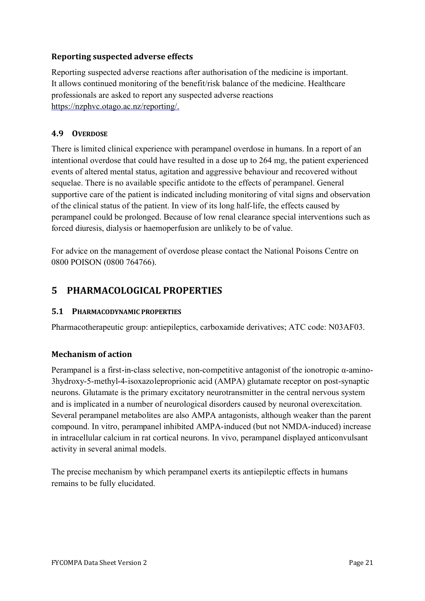## **Reporting suspected adverse effects**

Reporting suspected adverse reactions after authorisation of the medicine is important. It allows continued monitoring of the benefit/risk balance of the medicine. Healthcare professionals are asked to report any suspected adverse reactions https://nzphvc.otago.ac.nz/reporting/.

#### **4.9 OVERDOSE**

There is limited clinical experience with perampanel overdose in humans. In a report of an intentional overdose that could have resulted in a dose up to 264 mg, the patient experienced events of altered mental status, agitation and aggressive behaviour and recovered without sequelae. There is no available specific antidote to the effects of perampanel. General supportive care of the patient is indicated including monitoring of vital signs and observation of the clinical status of the patient. In view of its long half-life, the effects caused by perampanel could be prolonged. Because of low renal clearance special interventions such as forced diuresis, dialysis or haemoperfusion are unlikely to be of value.

For advice on the management of overdose please contact the National Poisons Centre on 0800 POISON (0800 764766).

# **5 PHARMACOLOGICAL PROPERTIES**

#### **5.1 PHARMACODYNAMIC PROPERTIES**

Pharmacotherapeutic group: antiepileptics, carboxamide derivatives; ATC code: N03AF03.

#### **Mechanism of action**

Perampanel is a first-in-class selective, non-competitive antagonist of the ionotropic α-amino-3hydroxy-5-methyl-4-isoxazoleproprionic acid (AMPA) glutamate receptor on post-synaptic neurons. Glutamate is the primary excitatory neurotransmitter in the central nervous system and is implicated in a number of neurological disorders caused by neuronal overexcitation. Several perampanel metabolites are also AMPA antagonists, although weaker than the parent compound. In vitro, perampanel inhibited AMPA-induced (but not NMDA-induced) increase in intracellular calcium in rat cortical neurons. In vivo, perampanel displayed anticonvulsant activity in several animal models.

The precise mechanism by which perampanel exerts its antiepileptic effects in humans remains to be fully elucidated.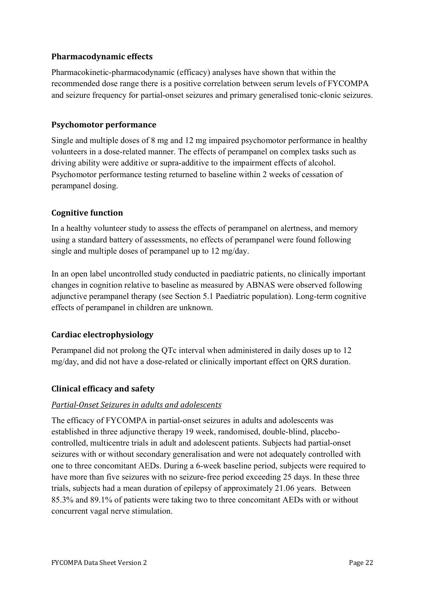## **Pharmacodynamic effects**

Pharmacokinetic-pharmacodynamic (efficacy) analyses have shown that within the recommended dose range there is a positive correlation between serum levels of FYCOMPA and seizure frequency for partial-onset seizures and primary generalised tonic-clonic seizures.

### **Psychomotor performance**

Single and multiple doses of 8 mg and 12 mg impaired psychomotor performance in healthy volunteers in a dose-related manner. The effects of perampanel on complex tasks such as driving ability were additive or supra-additive to the impairment effects of alcohol. Psychomotor performance testing returned to baseline within 2 weeks of cessation of perampanel dosing.

### **Cognitive function**

In a healthy volunteer study to assess the effects of perampanel on alertness, and memory using a standard battery of assessments, no effects of perampanel were found following single and multiple doses of perampanel up to 12 mg/day.

In an open label uncontrolled study conducted in paediatric patients, no clinically important changes in cognition relative to baseline as measured by ABNAS were observed following adjunctive perampanel therapy (see Section 5.1 Paediatric population). Long-term cognitive effects of perampanel in children are unknown.

## **Cardiac electrophysiology**

Perampanel did not prolong the QTc interval when administered in daily doses up to 12 mg/day, and did not have a dose-related or clinically important effect on QRS duration.

#### **Clinical efficacy and safety**

#### *Partial-Onset Seizures in adults and adolescents*

The efficacy of FYCOMPA in partial-onset seizures in adults and adolescents was established in three adjunctive therapy 19 week, randomised, double-blind, placebocontrolled, multicentre trials in adult and adolescent patients. Subjects had partial-onset seizures with or without secondary generalisation and were not adequately controlled with one to three concomitant AEDs. During a 6-week baseline period, subjects were required to have more than five seizures with no seizure-free period exceeding 25 days. In these three trials, subjects had a mean duration of epilepsy of approximately 21.06 years. Between 85.3% and 89.1% of patients were taking two to three concomitant AEDs with or without concurrent vagal nerve stimulation.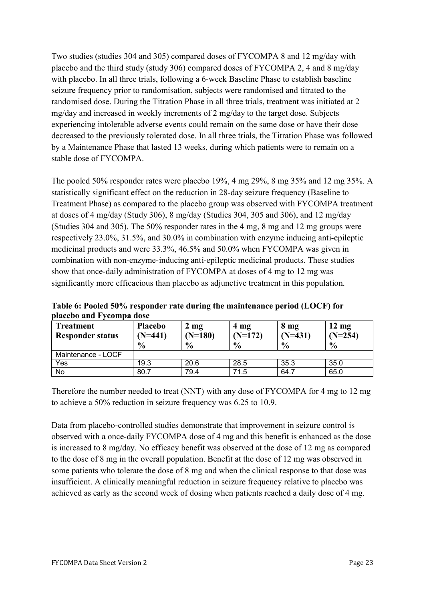Two studies (studies 304 and 305) compared doses of FYCOMPA 8 and 12 mg/day with placebo and the third study (study 306) compared doses of FYCOMPA 2, 4 and 8 mg/day with placebo. In all three trials, following a 6-week Baseline Phase to establish baseline seizure frequency prior to randomisation, subjects were randomised and titrated to the randomised dose. During the Titration Phase in all three trials, treatment was initiated at 2 mg/day and increased in weekly increments of 2 mg/day to the target dose. Subjects experiencing intolerable adverse events could remain on the same dose or have their dose decreased to the previously tolerated dose. In all three trials, the Titration Phase was followed by a Maintenance Phase that lasted 13 weeks, during which patients were to remain on a stable dose of FYCOMPA.

The pooled 50% responder rates were placebo 19%, 4 mg 29%, 8 mg 35% and 12 mg 35%. A statistically significant effect on the reduction in 28-day seizure frequency (Baseline to Treatment Phase) as compared to the placebo group was observed with FYCOMPA treatment at doses of 4 mg/day (Study 306), 8 mg/day (Studies 304, 305 and 306), and 12 mg/day (Studies 304 and 305). The 50% responder rates in the 4 mg, 8 mg and 12 mg groups were respectively 23.0%, 31.5%, and 30.0% in combination with enzyme inducing anti-epileptic medicinal products and were 33.3%, 46.5% and 50.0% when FYCOMPA was given in combination with non-enzyme-inducing anti-epileptic medicinal products. These studies show that once-daily administration of FYCOMPA at doses of 4 mg to 12 mg was significantly more efficacious than placebo as adjunctive treatment in this population.

| риссью апа і усопіра абэс            |                             |                             |                   |                              |                              |
|--------------------------------------|-----------------------------|-----------------------------|-------------------|------------------------------|------------------------------|
| Treatment<br><b>Responder status</b> | <b>Placebo</b><br>$(N=441)$ | $2 \text{ mg}$<br>$(N=180)$ | 4 mg<br>$(N=172)$ | 8 <sub>mg</sub><br>$(N=431)$ | $12 \text{ mg}$<br>$(N=254)$ |
|                                      | $\frac{0}{0}$               | $\frac{6}{6}$               | $\frac{0}{0}$     | $\frac{6}{9}$                | $\frac{0}{0}$                |
| Maintenance - LOCF                   |                             |                             |                   |                              |                              |
| Yes                                  | 19.3                        | 20.6                        | 28.5              | 35.3                         | 35.0                         |
| No                                   | 80.7                        | 79.4                        | 71.5              | 64.7                         | 65.0                         |

**Table 6: Pooled 50% responder rate during the maintenance period (LOCF) for placebo and Fycompa dose**

Therefore the number needed to treat (NNT) with any dose of FYCOMPA for 4 mg to 12 mg to achieve a 50% reduction in seizure frequency was 6.25 to 10.9.

Data from placebo-controlled studies demonstrate that improvement in seizure control is observed with a once-daily FYCOMPA dose of 4 mg and this benefit is enhanced as the dose is increased to 8 mg/day. No efficacy benefit was observed at the dose of 12 mg as compared to the dose of 8 mg in the overall population. Benefit at the dose of 12 mg was observed in some patients who tolerate the dose of 8 mg and when the clinical response to that dose was insufficient. A clinically meaningful reduction in seizure frequency relative to placebo was achieved as early as the second week of dosing when patients reached a daily dose of 4 mg.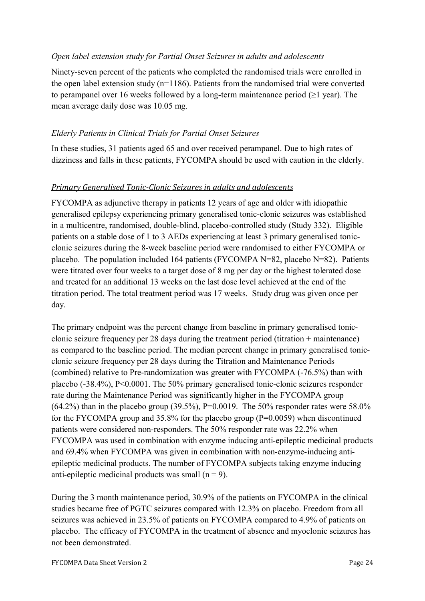#### *Open label extension study for Partial Onset Seizures in adults and adolescents*

Ninety-seven percent of the patients who completed the randomised trials were enrolled in the open label extension study (n=1186). Patients from the randomised trial were converted to perampanel over 16 weeks followed by a long-term maintenance period ( $\geq 1$  year). The mean average daily dose was 10.05 mg.

#### *Elderly Patients in Clinical Trials for Partial Onset Seizures*

In these studies, 31 patients aged 65 and over received perampanel. Due to high rates of dizziness and falls in these patients, FYCOMPA should be used with caution in the elderly.

#### *Primary Generalised Tonic-Clonic Seizures in adults and adolescents*

FYCOMPA as adjunctive therapy in patients 12 years of age and older with idiopathic generalised epilepsy experiencing primary generalised tonic-clonic seizures was established in a multicentre, randomised, double-blind, placebo-controlled study (Study 332). Eligible patients on a stable dose of 1 to 3 AEDs experiencing at least 3 primary generalised tonicclonic seizures during the 8-week baseline period were randomised to either FYCOMPA or placebo. The population included 164 patients (FYCOMPA N=82, placebo N=82). Patients were titrated over four weeks to a target dose of 8 mg per day or the highest tolerated dose and treated for an additional 13 weeks on the last dose level achieved at the end of the titration period. The total treatment period was 17 weeks. Study drug was given once per day.

The primary endpoint was the percent change from baseline in primary generalised tonicclonic seizure frequency per 28 days during the treatment period (titration + maintenance) as compared to the baseline period. The median percent change in primary generalised tonicclonic seizure frequency per 28 days during the Titration and Maintenance Periods (combined) relative to Pre-randomization was greater with FYCOMPA (-76.5%) than with placebo (-38.4%), P<0.0001. The 50% primary generalised tonic-clonic seizures responder rate during the Maintenance Period was significantly higher in the FYCOMPA group (64.2%) than in the placebo group (39.5%), P=0.0019. The 50% responder rates were 58.0% for the FYCOMPA group and  $35.8\%$  for the placebo group (P=0.0059) when discontinued patients were considered non-responders. The 50% responder rate was 22.2% when FYCOMPA was used in combination with enzyme inducing anti-epileptic medicinal products and 69.4% when FYCOMPA was given in combination with non-enzyme-inducing antiepileptic medicinal products. The number of FYCOMPA subjects taking enzyme inducing anti-epileptic medicinal products was small  $(n = 9)$ .

During the 3 month maintenance period, 30.9% of the patients on FYCOMPA in the clinical studies became free of PGTC seizures compared with 12.3% on placebo. Freedom from all seizures was achieved in 23.5% of patients on FYCOMPA compared to 4.9% of patients on placebo. The efficacy of FYCOMPA in the treatment of absence and myoclonic seizures has not been demonstrated.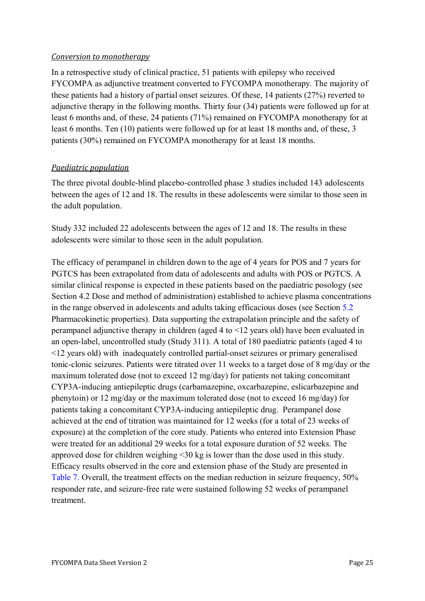#### *Conversion to monotherapy*

In a retrospective study of clinical practice, 51 patients with epilepsy who received FYCOMPA as adjunctive treatment converted to FYCOMPA monotherapy. The majority of these patients had a history of partial onset seizures. Of these, 14 patients (27%) reverted to adjunctive therapy in the following months. Thirty four (34) patients were followed up for at least 6 months and, of these, 24 patients (71%) remained on FYCOMPA monotherapy for at least 6 months. Ten (10) patients were followed up for at least 18 months and, of these, 3 patients (30%) remained on FYCOMPA monotherapy for at least 18 months.

### *Paediatric population*

The three pivotal double-blind placebo-controlled phase 3 studies included 143 adolescents between the ages of 12 and 18. The results in these adolescents were similar to those seen in the adult population.

Study 332 included 22 adolescents between the ages of 12 and 18. The results in these adolescents were similar to those seen in the adult population.

The efficacy of perampanel in children down to the age of 4 years for POS and 7 years for PGTCS has been extrapolated from data of adolescents and adults with POS or PGTCS. A similar clinical response is expected in these patients based on the paediatric posology (see Section 4.2 Dose and method of administration) established to achieve plasma concentrations in the range observed in adolescents and adults taking efficacious doses (see Section [5.2](#page-26-0) Pharmacokinetic properties). Data supporting the extrapolation principle and the safety of perampanel adjunctive therapy in children (aged 4 to <12 years old) have been evaluated in an open-label, uncontrolled study (Study 311). A total of 180 paediatric patients (aged 4 to <12 years old) with inadequately controlled partial-onset seizures or primary generalised tonic-clonic seizures. Patients were titrated over 11 weeks to a target dose of 8 mg/day or the maximum tolerated dose (not to exceed 12 mg/day) for patients not taking concomitant CYP3A-inducing antiepileptic drugs (carbamazepine, oxcarbazepine, eslicarbazepine and phenytoin) or 12 mg/day or the maximum tolerated dose (not to exceed 16 mg/day) for patients taking a concomitant CYP3A-inducing antiepileptic drug. Perampanel dose achieved at the end of titration was maintained for 12 weeks (for a total of 23 weeks of exposure) at the completion of the core study. Patients who entered into Extension Phase were treated for an additional 29 weeks for a total exposure duration of 52 weeks. The approved dose for children weighing <30 kg is lower than the dose used in this study. Efficacy results observed in the core and extension phase of the Study are presented in [Table](#page-25-0) 7. Overall, the treatment effects on the median reduction in seizure frequency, 50% responder rate, and seizure-free rate were sustained following 52 weeks of perampanel treatment.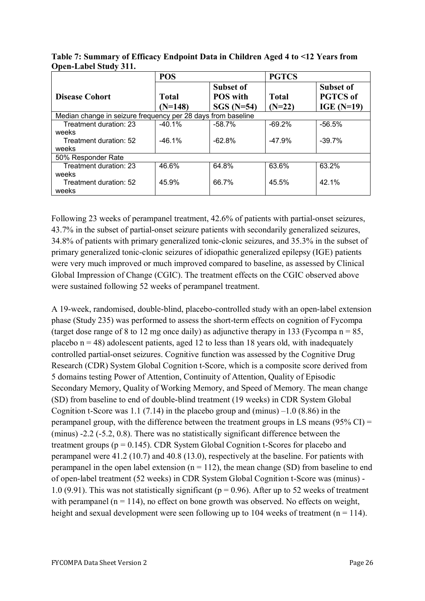|                                                              | <b>POS</b> |                 | <b>PGTCS</b> |                 |  |
|--------------------------------------------------------------|------------|-----------------|--------------|-----------------|--|
|                                                              |            | Subset of       |              | Subset of       |  |
| <b>Disease Cohort</b>                                        | Total      | <b>POS</b> with | Total        | <b>PGTCS</b> of |  |
|                                                              | $(N=148)$  | $SGS$ (N=54)    | $(N=22)$     | IGE $(N=19)$    |  |
| Median change in seizure frequency per 28 days from baseline |            |                 |              |                 |  |
| Treatment duration: 23                                       | $-40.1%$   | $-58.7%$        | $-69.2%$     | $-56.5%$        |  |
| weeks                                                        |            |                 |              |                 |  |
| Treatment duration: 52                                       | $-46.1%$   | $-62.8\%$       | $-47.9%$     | $-39.7%$        |  |
| weeks                                                        |            |                 |              |                 |  |
| 50% Responder Rate                                           |            |                 |              |                 |  |
| Treatment duration: 23                                       | 46.6%      | 64.8%           | 63.6%        | 63.2%           |  |
| weeks                                                        |            |                 |              |                 |  |
| Treatment duration: 52                                       | 45.9%      | 66.7%           | 45.5%        | 42.1%           |  |
| weeks                                                        |            |                 |              |                 |  |

<span id="page-25-0"></span>**Table 7: Summary of Efficacy Endpoint Data in Children Aged 4 to <12 Years from Open-Label Study 311.**

Following 23 weeks of perampanel treatment, 42.6% of patients with partial-onset seizures, 43.7% in the subset of partial-onset seizure patients with secondarily generalized seizures, 34.8% of patients with primary generalized tonic-clonic seizures, and 35.3% in the subset of primary generalized tonic-clonic seizures of idiopathic generalized epilepsy (IGE) patients were very much improved or much improved compared to baseline, as assessed by Clinical Global Impression of Change (CGIC). The treatment effects on the CGIC observed above were sustained following 52 weeks of perampanel treatment.

A 19-week, randomised, double-blind, placebo-controlled study with an open-label extension phase (Study 235) was performed to assess the short-term effects on cognition of Fycompa (target dose range of 8 to 12 mg once daily) as adjunctive therapy in 133 (Fycompa  $n = 85$ , placebo  $n = 48$ ) adolescent patients, aged 12 to less than 18 years old, with inadequately controlled partial-onset seizures. Cognitive function was assessed by the Cognitive Drug Research (CDR) System Global Cognition t-Score, which is a composite score derived from 5 domains testing Power of Attention, Continuity of Attention, Quality of Episodic Secondary Memory, Quality of Working Memory, and Speed of Memory. The mean change (SD) from baseline to end of double-blind treatment (19 weeks) in CDR System Global Cognition t-Score was 1.1 (7.14) in the placebo group and (minus)  $-1.0$  (8.86) in the perampanel group, with the difference between the treatment groups in LS means (95% CI) = (minus) -2.2 (-5.2, 0.8). There was no statistically significant difference between the treatment groups ( $p = 0.145$ ). CDR System Global Cognition t-Scores for placebo and perampanel were 41.2 (10.7) and 40.8 (13.0), respectively at the baseline. For patients with perampanel in the open label extension  $(n = 112)$ , the mean change (SD) from baseline to end of open-label treatment (52 weeks) in CDR System Global Cognition t-Score was (minus) - 1.0 (9.91). This was not statistically significant ( $p = 0.96$ ). After up to 52 weeks of treatment with perampanel ( $n = 114$ ), no effect on bone growth was observed. No effects on weight, height and sexual development were seen following up to 104 weeks of treatment ( $n = 114$ ).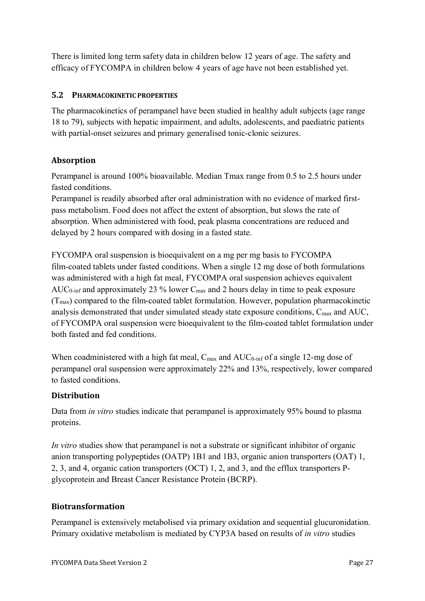There is limited long term safety data in children below 12 years of age. The safety and efficacy of FYCOMPA in children below 4 years of age have not been established yet.

### <span id="page-26-0"></span>**5.2 PHARMACOKINETIC PROPERTIES**

The pharmacokinetics of perampanel have been studied in healthy adult subjects (age range 18 to 79), subjects with hepatic impairment, and adults, adolescents, and paediatric patients with partial-onset seizures and primary generalised tonic-clonic seizures.

## **Absorption**

Perampanel is around 100% bioavailable. Median Tmax range from 0.5 to 2.5 hours under fasted conditions.

Perampanel is readily absorbed after oral administration with no evidence of marked firstpass metabolism. Food does not affect the extent of absorption, but slows the rate of absorption. When administered with food, peak plasma concentrations are reduced and delayed by 2 hours compared with dosing in a fasted state.

FYCOMPA oral suspension is bioequivalent on a mg per mg basis to FYCOMPA film-coated tablets under fasted conditions. When a single 12 mg dose of both formulations was administered with a high fat meal, FYCOMPA oral suspension achieves equivalent AUC<sub>0-inf</sub> and approximately 23  $\%$  lower C<sub>max</sub> and 2 hours delay in time to peak exposure  $(T_{\text{max}})$  compared to the film-coated tablet formulation. However, population pharmacokinetic analysis demonstrated that under simulated steady state exposure conditions,  $C_{\text{max}}$  and  $AUC$ , of FYCOMPA oral suspension were bioequivalent to the film-coated tablet formulation under both fasted and fed conditions.

When coadministered with a high fat meal,  $C_{\text{max}}$  and  $AUC_{0\text{-inf}}$  of a single 12-mg dose of perampanel oral suspension were approximately 22% and 13%, respectively, lower compared to fasted conditions.

## **Distribution**

Data from *in vitro* studies indicate that perampanel is approximately 95% bound to plasma proteins.

*In vitro* studies show that perampanel is not a substrate or significant inhibitor of organic anion transporting polypeptides (OATP) 1B1 and 1B3, organic anion transporters (OAT) 1, 2, 3, and 4, organic cation transporters (OCT) 1, 2, and 3, and the efflux transporters Pglycoprotein and Breast Cancer Resistance Protein (BCRP).

#### **Biotransformation**

Perampanel is extensively metabolised via primary oxidation and sequential glucuronidation. Primary oxidative metabolism is mediated by CYP3A based on results of *in vitro* studies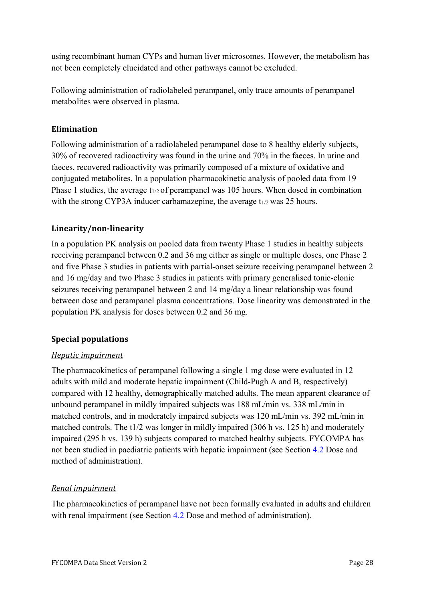using recombinant human CYPs and human liver microsomes. However, the metabolism has not been completely elucidated and other pathways cannot be excluded.

Following administration of radiolabeled perampanel, only trace amounts of perampanel metabolites were observed in plasma.

### **Elimination**

Following administration of a radiolabeled perampanel dose to 8 healthy elderly subjects, 30% of recovered radioactivity was found in the urine and 70% in the faeces. In urine and faeces, recovered radioactivity was primarily composed of a mixture of oxidative and conjugated metabolites. In a population pharmacokinetic analysis of pooled data from 19 Phase 1 studies, the average  $t_{1/2}$  of perampanel was 105 hours. When dosed in combination with the strong CYP3A inducer carbamazepine, the average  $t_{1/2}$  was 25 hours.

### **Linearity/non-linearity**

In a population PK analysis on pooled data from twenty Phase 1 studies in healthy subjects receiving perampanel between 0.2 and 36 mg either as single or multiple doses, one Phase 2 and five Phase 3 studies in patients with partial-onset seizure receiving perampanel between 2 and 16 mg/day and two Phase 3 studies in patients with primary generalised tonic-clonic seizures receiving perampanel between 2 and 14 mg/day a linear relationship was found between dose and perampanel plasma concentrations. Dose linearity was demonstrated in the population PK analysis for doses between 0.2 and 36 mg.

#### **Special populations**

#### *Hepatic impairment*

The pharmacokinetics of perampanel following a single 1 mg dose were evaluated in 12 adults with mild and moderate hepatic impairment (Child-Pugh A and B, respectively) compared with 12 healthy, demographically matched adults. The mean apparent clearance of unbound perampanel in mildly impaired subjects was 188 mL/min vs. 338 mL/min in matched controls, and in moderately impaired subjects was 120 mL/min vs. 392 mL/min in matched controls. The t1/2 was longer in mildly impaired (306 h vs. 125 h) and moderately impaired (295 h vs. 139 h) subjects compared to matched healthy subjects. FYCOMPA has not been studied in paediatric patients with hepatic impairment (see Section [4.2](#page-2-0) Dose and method of administration).

## *Renal impairment*

The pharmacokinetics of perampanel have not been formally evaluated in adults and children with renal impairment (see Section [4.2](#page-2-0) Dose and method of administration).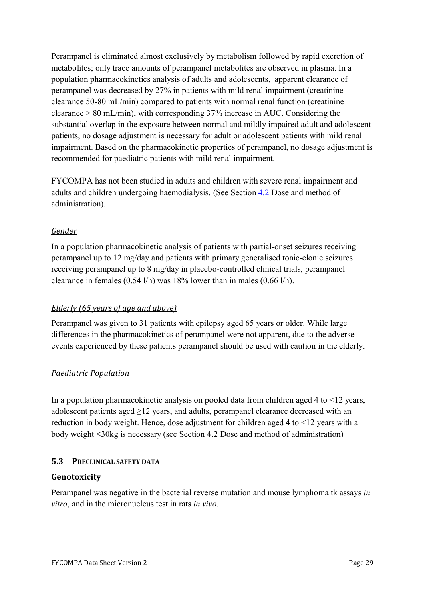Perampanel is eliminated almost exclusively by metabolism followed by rapid excretion of metabolites; only trace amounts of perampanel metabolites are observed in plasma. In a population pharmacokinetics analysis of adults and adolescents, apparent clearance of perampanel was decreased by 27% in patients with mild renal impairment (creatinine clearance 50-80 mL/min) compared to patients with normal renal function (creatinine clearance > 80 mL/min), with corresponding 37% increase in AUC. Considering the substantial overlap in the exposure between normal and mildly impaired adult and adolescent patients, no dosage adjustment is necessary for adult or adolescent patients with mild renal impairment. Based on the pharmacokinetic properties of perampanel, no dosage adjustment is recommended for paediatric patients with mild renal impairment.

FYCOMPA has not been studied in adults and children with severe renal impairment and adults and children undergoing haemodialysis. (See Section [4.2](#page-2-0) Dose and method of administration).

### *Gender*

In a population pharmacokinetic analysis of patients with partial-onset seizures receiving perampanel up to 12 mg/day and patients with primary generalised tonic-clonic seizures receiving perampanel up to 8 mg/day in placebo-controlled clinical trials, perampanel clearance in females (0.54 l/h) was 18% lower than in males (0.66 l/h).

#### *Elderly* (65 years of age and above)

Perampanel was given to 31 patients with epilepsy aged 65 years or older. While large differences in the pharmacokinetics of perampanel were not apparent, due to the adverse events experienced by these patients perampanel should be used with caution in the elderly.

## *Paediatric Population*

In a population pharmacokinetic analysis on pooled data from children aged 4 to <12 years, adolescent patients aged  $\geq$ 12 years, and adults, perampanel clearance decreased with an reduction in body weight. Hence, dose adjustment for children aged 4 to <12 years with a body weight <30kg is necessary (see Section 4.2 Dose and method of administration)

#### **5.3 PRECLINICAL SAFETY DATA**

#### **Genotoxicity**

Perampanel was negative in the bacterial reverse mutation and mouse lymphoma tk assays *in vitro*, and in the micronucleus test in rats *in vivo*.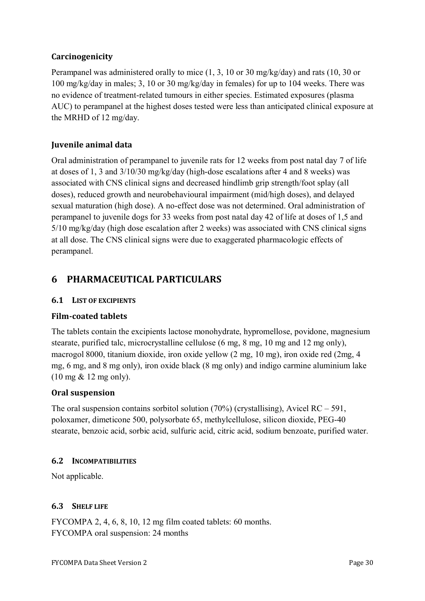## **Carcinogenicity**

Perampanel was administered orally to mice (1, 3, 10 or 30 mg/kg/day) and rats (10, 30 or 100 mg/kg/day in males; 3, 10 or 30 mg/kg/day in females) for up to 104 weeks. There was no evidence of treatment-related tumours in either species. Estimated exposures (plasma AUC) to perampanel at the highest doses tested were less than anticipated clinical exposure at the MRHD of 12 mg/day.

## **Juvenile animal data**

Oral administration of perampanel to juvenile rats for 12 weeks from post natal day 7 of life at doses of 1, 3 and 3/10/30 mg/kg/day (high-dose escalations after 4 and 8 weeks) was associated with CNS clinical signs and decreased hindlimb grip strength/foot splay (all doses), reduced growth and neurobehavioural impairment (mid/high doses), and delayed sexual maturation (high dose). A no-effect dose was not determined. Oral administration of perampanel to juvenile dogs for 33 weeks from post natal day 42 of life at doses of 1,5 and 5/10 mg/kg/day (high dose escalation after 2 weeks) was associated with CNS clinical signs at all dose. The CNS clinical signs were due to exaggerated pharmacologic effects of perampanel.

# **6 PHARMACEUTICAL PARTICULARS**

#### <span id="page-29-0"></span>**6.1 LIST OF EXCIPIENTS**

#### **Film-coated tablets**

The tablets contain the excipients lactose monohydrate, hypromellose, povidone, magnesium stearate, purified talc, microcrystalline cellulose (6 mg, 8 mg, 10 mg and 12 mg only), macrogol 8000, titanium dioxide, iron oxide yellow (2 mg, 10 mg), iron oxide red (2mg, 4 mg, 6 mg, and 8 mg only), iron oxide black (8 mg only) and indigo carmine aluminium lake (10 mg & 12 mg only).

#### **Oral suspension**

The oral suspension contains sorbitol solution  $(70\%)$  (crystallising), Avicel RC – 591, poloxamer, dimeticone 500, polysorbate 65, methylcellulose, silicon dioxide, PEG-40 stearate, benzoic acid, sorbic acid, sulfuric acid, citric acid, sodium benzoate, purified water.

#### **6.2 INCOMPATIBILITIES**

Not applicable.

#### **6.3 SHELF LIFE**

FYCOMPA 2, 4, 6, 8, 10, 12 mg film coated tablets: 60 months. FYCOMPA oral suspension: 24 months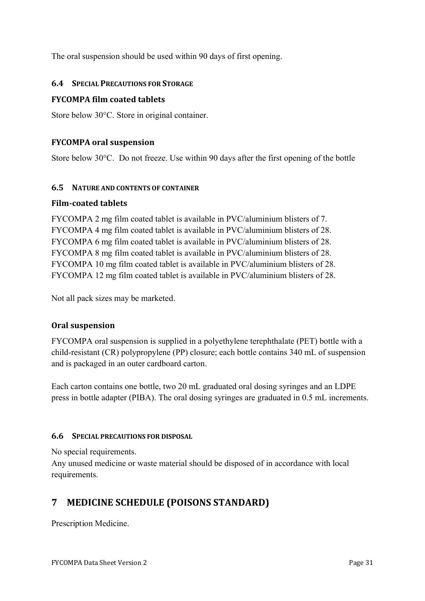The oral suspension should be used within 90 days of first opening.

#### **6.4 SPECIAL PRECAUTIONS FOR STORAGE**

#### **FYCOMPA film coated tablets**

Store below 30°C. Store in original container.

#### **FYCOMPA oral suspension**

Store below 30°C. Do not freeze. Use within 90 days after the first opening of the bottle

#### **6.5 NATURE AND CONTENTS OF CONTAINER**

#### **Film-coated tablets**

FYCOMPA 2 mg film coated tablet is available in PVC/aluminium blisters of 7. FYCOMPA 4 mg film coated tablet is available in PVC/aluminium blisters of 28. FYCOMPA 6 mg film coated tablet is available in PVC/aluminium blisters of 28. FYCOMPA 8 mg film coated tablet is available in PVC/aluminium blisters of 28. FYCOMPA 10 mg film coated tablet is available in PVC/aluminium blisters of 28. FYCOMPA 12 mg film coated tablet is available in PVC/aluminium blisters of 28.

Not all pack sizes may be marketed.

#### **Oral suspension**

FYCOMPA oral suspension is supplied in a polyethylene terephthalate (PET) bottle with a child-resistant (CR) polypropylene (PP) closure; each bottle contains 340 mL of suspension and is packaged in an outer cardboard carton.

Each carton contains one bottle, two 20 mL graduated oral dosing syringes and an LDPE press in bottle adapter (PIBA). The oral dosing syringes are graduated in 0.5 mL increments.

#### **6.6 SPECIAL PRECAUTIONS FOR DISPOSAL**

No special requirements.

Any unused medicine or waste material should be disposed of in accordance with local requirements.

# **7 MEDICINE SCHEDULE (POISONS STANDARD)**

Prescription Medicine.